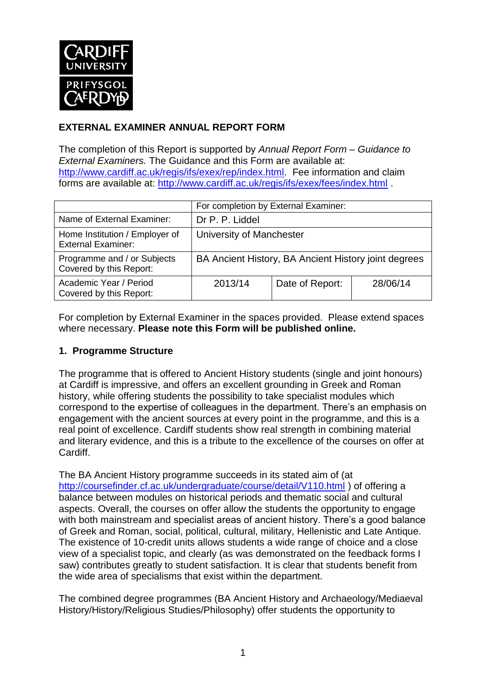

## **EXTERNAL EXAMINER ANNUAL REPORT FORM**

The completion of this Report is supported by *Annual Report Form – Guidance to External Examiners.* The Guidance and this Form are available at: [http://www.cardiff.ac.uk/regis/ifs/exex/rep/index.html.](http://www.cardiff.ac.uk/regis/ifs/exex/rep/index.html) Fee information and claim forms are available at:<http://www.cardiff.ac.uk/regis/ifs/exex/fees/index.html> .

|                                                             | For completion by External Examiner:                 |                 |          |  |
|-------------------------------------------------------------|------------------------------------------------------|-----------------|----------|--|
| Name of External Examiner:                                  | Dr P. P. Liddel                                      |                 |          |  |
| Home Institution / Employer of<br><b>External Examiner:</b> | University of Manchester                             |                 |          |  |
| Programme and / or Subjects<br>Covered by this Report:      | BA Ancient History, BA Ancient History joint degrees |                 |          |  |
| Academic Year / Period<br>Covered by this Report:           | 2013/14                                              | Date of Report: | 28/06/14 |  |

For completion by External Examiner in the spaces provided. Please extend spaces where necessary. **Please note this Form will be published online.**

### **1. Programme Structure**

The programme that is offered to Ancient History students (single and joint honours) at Cardiff is impressive, and offers an excellent grounding in Greek and Roman history, while offering students the possibility to take specialist modules which correspond to the expertise of colleagues in the department. There's an emphasis on engagement with the ancient sources at every point in the programme, and this is a real point of excellence. Cardiff students show real strength in combining material and literary evidence, and this is a tribute to the excellence of the courses on offer at Cardiff.

The BA Ancient History programme succeeds in its stated aim of (at <http://coursefinder.cf.ac.uk/undergraduate/course/detail/V110.html> ) of offering a balance between modules on historical periods and thematic social and cultural aspects. Overall, the courses on offer allow the students the opportunity to engage with both mainstream and specialist areas of ancient history. There's a good balance of Greek and Roman, social, political, cultural, military, Hellenistic and Late Antique. The existence of 10-credit units allows students a wide range of choice and a close view of a specialist topic, and clearly (as was demonstrated on the feedback forms I saw) contributes greatly to student satisfaction. It is clear that students benefit from the wide area of specialisms that exist within the department.

The combined degree programmes (BA Ancient History and Archaeology/Mediaeval History/History/Religious Studies/Philosophy) offer students the opportunity to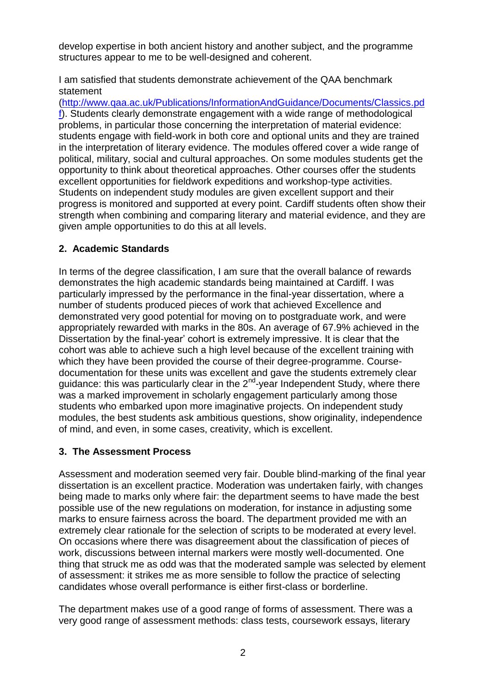develop expertise in both ancient history and another subject, and the programme structures appear to me to be well-designed and coherent.

I am satisfied that students demonstrate achievement of the QAA benchmark statement

[\(http://www.qaa.ac.uk/Publications/InformationAndGuidance/Documents/Classics.pd](http://www.qaa.ac.uk/Publications/InformationAndGuidance/Documents/Classics.pdf) [f\)](http://www.qaa.ac.uk/Publications/InformationAndGuidance/Documents/Classics.pdf). Students clearly demonstrate engagement with a wide range of methodological problems, in particular those concerning the interpretation of material evidence: students engage with field-work in both core and optional units and they are trained in the interpretation of literary evidence. The modules offered cover a wide range of political, military, social and cultural approaches. On some modules students get the opportunity to think about theoretical approaches. Other courses offer the students excellent opportunities for fieldwork expeditions and workshop-type activities. Students on independent study modules are given excellent support and their progress is monitored and supported at every point. Cardiff students often show their strength when combining and comparing literary and material evidence, and they are given ample opportunities to do this at all levels.

### **2. Academic Standards**

In terms of the degree classification, I am sure that the overall balance of rewards demonstrates the high academic standards being maintained at Cardiff. I was particularly impressed by the performance in the final-year dissertation, where a number of students produced pieces of work that achieved Excellence and demonstrated very good potential for moving on to postgraduate work, and were appropriately rewarded with marks in the 80s. An average of 67.9% achieved in the Dissertation by the final-year' cohort is extremely impressive. It is clear that the cohort was able to achieve such a high level because of the excellent training with which they have been provided the course of their degree-programme. Coursedocumentation for these units was excellent and gave the students extremely clear guidance: this was particularly clear in the 2<sup>nd</sup>-year Independent Study, where there was a marked improvement in scholarly engagement particularly among those students who embarked upon more imaginative projects. On independent study modules, the best students ask ambitious questions, show originality, independence of mind, and even, in some cases, creativity, which is excellent.

### **3. The Assessment Process**

Assessment and moderation seemed very fair. Double blind-marking of the final year dissertation is an excellent practice. Moderation was undertaken fairly, with changes being made to marks only where fair: the department seems to have made the best possible use of the new regulations on moderation, for instance in adjusting some marks to ensure fairness across the board. The department provided me with an extremely clear rationale for the selection of scripts to be moderated at every level. On occasions where there was disagreement about the classification of pieces of work, discussions between internal markers were mostly well-documented. One thing that struck me as odd was that the moderated sample was selected by element of assessment: it strikes me as more sensible to follow the practice of selecting candidates whose overall performance is either first-class or borderline.

The department makes use of a good range of forms of assessment. There was a very good range of assessment methods: class tests, coursework essays, literary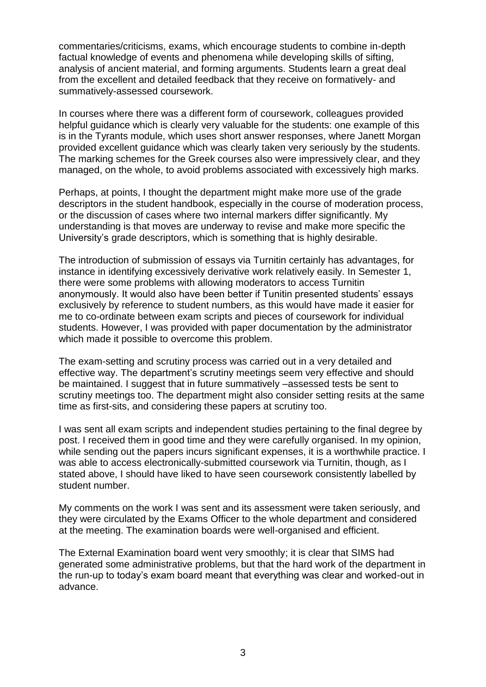commentaries/criticisms, exams, which encourage students to combine in-depth factual knowledge of events and phenomena while developing skills of sifting, analysis of ancient material, and forming arguments. Students learn a great deal from the excellent and detailed feedback that they receive on formatively- and summatively-assessed coursework.

In courses where there was a different form of coursework, colleagues provided helpful guidance which is clearly very valuable for the students: one example of this is in the Tyrants module, which uses short answer responses, where Janett Morgan provided excellent guidance which was clearly taken very seriously by the students. The marking schemes for the Greek courses also were impressively clear, and they managed, on the whole, to avoid problems associated with excessively high marks.

Perhaps, at points, I thought the department might make more use of the grade descriptors in the student handbook, especially in the course of moderation process, or the discussion of cases where two internal markers differ significantly. My understanding is that moves are underway to revise and make more specific the University's grade descriptors, which is something that is highly desirable.

The introduction of submission of essays via Turnitin certainly has advantages, for instance in identifying excessively derivative work relatively easily. In Semester 1, there were some problems with allowing moderators to access Turnitin anonymously. It would also have been better if Tunitin presented students' essays exclusively by reference to student numbers, as this would have made it easier for me to co-ordinate between exam scripts and pieces of coursework for individual students. However, I was provided with paper documentation by the administrator which made it possible to overcome this problem.

The exam-setting and scrutiny process was carried out in a very detailed and effective way. The department's scrutiny meetings seem very effective and should be maintained. I suggest that in future summatively –assessed tests be sent to scrutiny meetings too. The department might also consider setting resits at the same time as first-sits, and considering these papers at scrutiny too.

I was sent all exam scripts and independent studies pertaining to the final degree by post. I received them in good time and they were carefully organised. In my opinion, while sending out the papers incurs significant expenses, it is a worthwhile practice. I was able to access electronically-submitted coursework via Turnitin, though, as I stated above, I should have liked to have seen coursework consistently labelled by student number.

My comments on the work I was sent and its assessment were taken seriously, and they were circulated by the Exams Officer to the whole department and considered at the meeting. The examination boards were well-organised and efficient.

The External Examination board went very smoothly; it is clear that SIMS had generated some administrative problems, but that the hard work of the department in the run-up to today's exam board meant that everything was clear and worked-out in advance.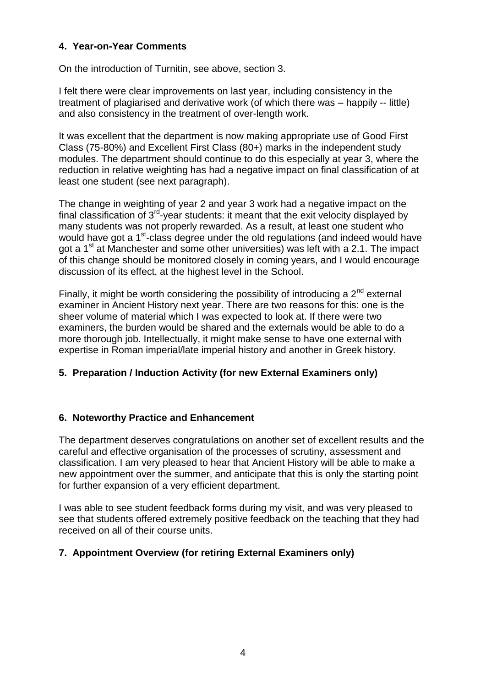#### **4. Year-on-Year Comments**

On the introduction of Turnitin, see above, section 3.

I felt there were clear improvements on last year, including consistency in the treatment of plagiarised and derivative work (of which there was – happily -- little) and also consistency in the treatment of over-length work.

It was excellent that the department is now making appropriate use of Good First Class (75-80%) and Excellent First Class (80+) marks in the independent study modules. The department should continue to do this especially at year 3, where the reduction in relative weighting has had a negative impact on final classification of at least one student (see next paragraph).

The change in weighting of year 2 and year 3 work had a negative impact on the final classification of  $3^{rd}$ -year students: it meant that the exit velocity displayed by many students was not properly rewarded. As a result, at least one student who would have got a 1<sup>st</sup>-class degree under the old regulations (and indeed would have got a  $1<sup>st</sup>$  at Manchester and some other universities) was left with a 2.1. The impact of this change should be monitored closely in coming years, and I would encourage discussion of its effect, at the highest level in the School.

Finally, it might be worth considering the possibility of introducing a  $2^{nd}$  external examiner in Ancient History next year. There are two reasons for this: one is the sheer volume of material which I was expected to look at. If there were two examiners, the burden would be shared and the externals would be able to do a more thorough job. Intellectually, it might make sense to have one external with expertise in Roman imperial/late imperial history and another in Greek history.

### **5. Preparation / Induction Activity (for new External Examiners only)**

#### **6. Noteworthy Practice and Enhancement**

The department deserves congratulations on another set of excellent results and the careful and effective organisation of the processes of scrutiny, assessment and classification. I am very pleased to hear that Ancient History will be able to make a new appointment over the summer, and anticipate that this is only the starting point for further expansion of a very efficient department.

I was able to see student feedback forms during my visit, and was very pleased to see that students offered extremely positive feedback on the teaching that they had received on all of their course units.

### **7. Appointment Overview (for retiring External Examiners only)**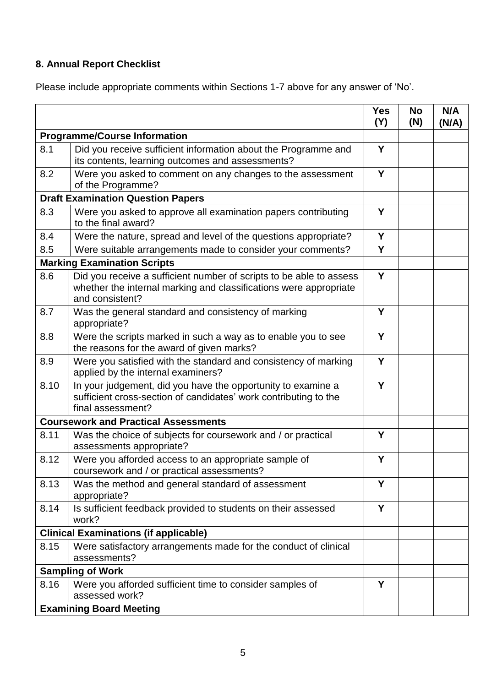# **8. Annual Report Checklist**

Please include appropriate comments within Sections 1-7 above for any answer of 'No'.

|                                             |                                                                                                                                                             | <b>Yes</b><br>(Y) | <b>No</b><br>(N) | N/A<br>(N/A) |
|---------------------------------------------|-------------------------------------------------------------------------------------------------------------------------------------------------------------|-------------------|------------------|--------------|
| <b>Programme/Course Information</b>         |                                                                                                                                                             |                   |                  |              |
| 8.1                                         | Did you receive sufficient information about the Programme and<br>its contents, learning outcomes and assessments?                                          | Y                 |                  |              |
| 8.2                                         | Were you asked to comment on any changes to the assessment<br>of the Programme?                                                                             | Y                 |                  |              |
| <b>Draft Examination Question Papers</b>    |                                                                                                                                                             |                   |                  |              |
| 8.3                                         | Were you asked to approve all examination papers contributing<br>to the final award?                                                                        | Y                 |                  |              |
| 8.4                                         | Were the nature, spread and level of the questions appropriate?                                                                                             | Y                 |                  |              |
| 8.5                                         | Were suitable arrangements made to consider your comments?                                                                                                  | Y                 |                  |              |
|                                             | <b>Marking Examination Scripts</b>                                                                                                                          |                   |                  |              |
| 8.6                                         | Did you receive a sufficient number of scripts to be able to assess<br>whether the internal marking and classifications were appropriate<br>and consistent? | Y                 |                  |              |
| 8.7                                         | Was the general standard and consistency of marking<br>appropriate?                                                                                         | Υ                 |                  |              |
| 8.8                                         | Were the scripts marked in such a way as to enable you to see<br>the reasons for the award of given marks?                                                  | Y                 |                  |              |
| 8.9                                         | Were you satisfied with the standard and consistency of marking<br>applied by the internal examiners?                                                       | Y                 |                  |              |
| 8.10                                        | In your judgement, did you have the opportunity to examine a<br>sufficient cross-section of candidates' work contributing to the<br>final assessment?       | Y                 |                  |              |
| <b>Coursework and Practical Assessments</b> |                                                                                                                                                             |                   |                  |              |
| 8.11                                        | Was the choice of subjects for coursework and / or practical<br>assessments appropriate?                                                                    | Y                 |                  |              |
| 8.12                                        | Were you afforded access to an appropriate sample of<br>coursework and / or practical assessments?                                                          | Y                 |                  |              |
| 8.13                                        | Was the method and general standard of assessment<br>appropriate?                                                                                           | Y                 |                  |              |
| 8.14                                        | Is sufficient feedback provided to students on their assessed<br>work?                                                                                      | Y                 |                  |              |
|                                             | <b>Clinical Examinations (if applicable)</b>                                                                                                                |                   |                  |              |
| 8.15                                        | Were satisfactory arrangements made for the conduct of clinical<br>assessments?                                                                             |                   |                  |              |
|                                             | <b>Sampling of Work</b>                                                                                                                                     |                   |                  |              |
| 8.16                                        | Were you afforded sufficient time to consider samples of<br>assessed work?                                                                                  | Y                 |                  |              |
| <b>Examining Board Meeting</b>              |                                                                                                                                                             |                   |                  |              |